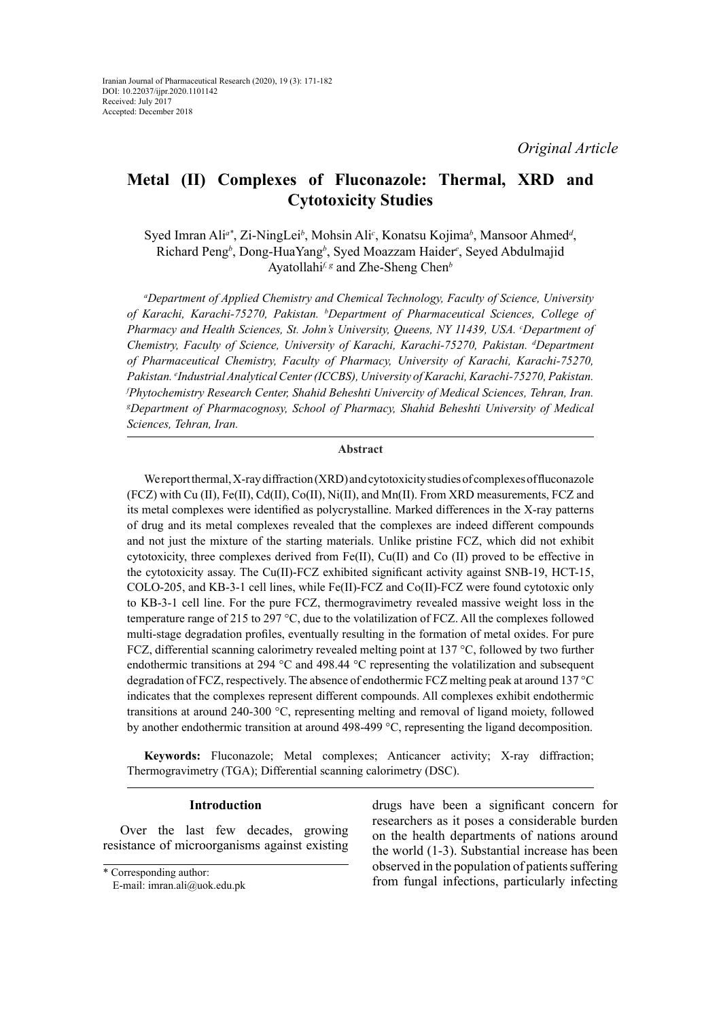# **Metal (II) Complexes of Fluconazole: Thermal, XRD and Cytotoxicity Studies**

Syed Imran Ali<sup>a\*</sup>, Zi-NingLei<sup>b</sup>, Mohsin Ali<sup>c</sup>, Konatsu Kojima<sup>b</sup>, Mansoor Ahmed<sup>*d*</sup>, Richard Peng*<sup>b</sup>* , Dong-HuaYang*<sup>b</sup>* , Syed Moazzam Haider*<sup>e</sup>* , Seyed Abdulmajid Ayatollahi*f, g* and Zhe-Sheng Chen*<sup>b</sup>*

*a Department of Applied Chemistry and Chemical Technology, Faculty of Science, University of Karachi, Karachi-75270, Pakistan. b Department of Pharmaceutical Sciences, College of*  Pharmacy and Health Sciences, St. John's University, Queens, NY 11439, USA. *<sup>c</sup>Department of Chemistry, Faculty of Science, University of Karachi, Karachi-75270, Pakistan. d Department of Pharmaceutical Chemistry, Faculty of Pharmacy, University of Karachi, Karachi-75270, Pakistan. e Industrial Analytical Center (ICCBS), University of Karachi, Karachi-75270, Pakistan. f Phytochemistry Research Center, Shahid Beheshti Univercity of Medical Sciences, Tehran, Iran. g Department of Pharmacognosy, School of Pharmacy, Shahid Beheshti University of Medical Sciences, Tehran, Iran.*

### **Abstract**

We report thermal, X-ray diffraction (XRD) and cytotoxicity studies of complexes of fluconazole (FCZ) with Cu (II), Fe(II), Cd(II), Co(II), Ni(II), and Mn(II). From XRD measurements, FCZ and its metal complexes were identified as polycrystalline. Marked differences in the X-ray patterns of drug and its metal complexes revealed that the complexes are indeed different compounds and not just the mixture of the starting materials. Unlike pristine FCZ, which did not exhibit cytotoxicity, three complexes derived from Fe(II), Cu(II) and Co (II) proved to be effective in the cytotoxicity assay. The Cu(II)-FCZ exhibited significant activity against SNB-19, HCT-15, COLO-205, and KB-3-1 cell lines, while Fe(II)-FCZ and Co(II)-FCZ were found cytotoxic only to KB-3-1 cell line. For the pure FCZ, thermogravimetry revealed massive weight loss in the temperature range of 215 to 297 °C, due to the volatilization of FCZ. All the complexes followed multi-stage degradation profiles, eventually resulting in the formation of metal oxides. For pure FCZ, differential scanning calorimetry revealed melting point at 137 °C, followed by two further endothermic transitions at 294 °C and 498.44 °C representing the volatilization and subsequent degradation of FCZ, respectively. The absence of endothermic FCZ melting peak at around 137 °C indicates that the complexes represent different compounds. All complexes exhibit endothermic transitions at around 240-300 °C, representing melting and removal of ligand moiety, followed by another endothermic transition at around 498-499 °C, representing the ligand decomposition.

**Keywords:** Fluconazole; Metal complexes; Anticancer activity; X-ray diffraction; Thermogravimetry (TGA); Differential scanning calorimetry (DSC).

# **Introduction**

Over the last few decades, growing resistance of microorganisms against existing

\* Corresponding author:

E-mail: imran.ali@uok.edu.pk

drugs have been a significant concern for researchers as it poses a considerable burden on the health departments of nations around the world (1-3). Substantial increase has been observed in the population of patients suffering from fungal infections, particularly infecting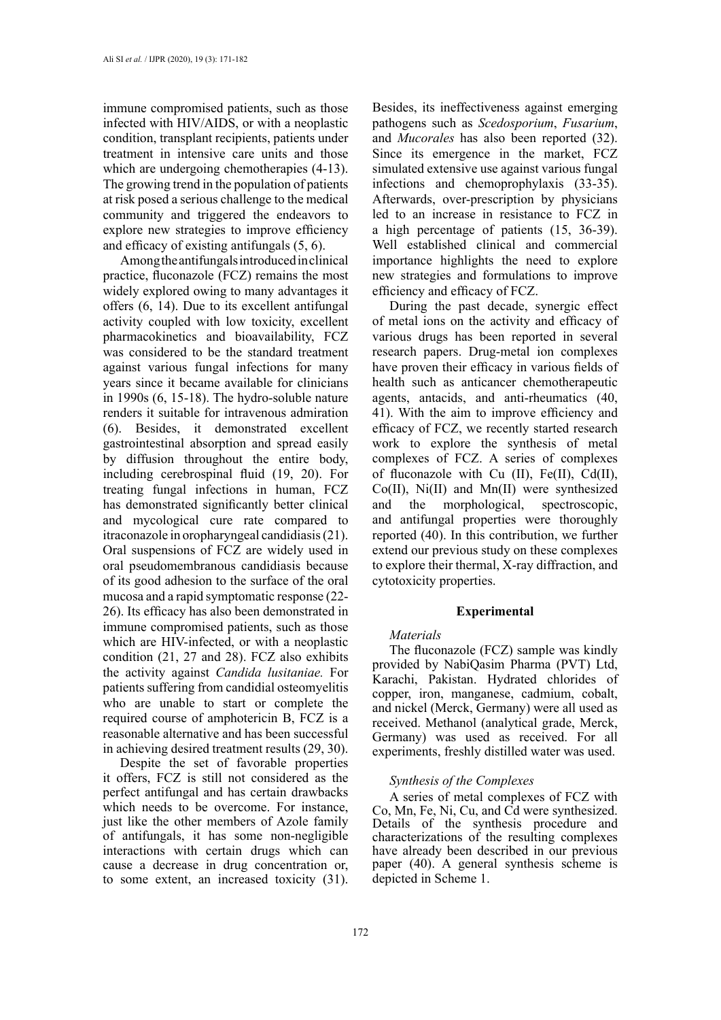immune compromised patients, such as those infected with HIV/AIDS, or with a neoplastic condition, transplant recipients, patients under treatment in intensive care units and those which are undergoing chemotherapies  $(4-13)$ . The growing trend in the population of patients at risk posed a serious challenge to the medical community and triggered the endeavors to explore new strategies to improve efficiency and efficacy of existing antifungals (5, 6).

Among the antifungals introduced in clinical practice, fluconazole (FCZ) remains the most widely explored owing to many advantages it offers (6, 14). Due to its excellent antifungal activity coupled with low toxicity, excellent pharmacokinetics and bioavailability, FCZ was considered to be the standard treatment against various fungal infections for many years since it became available for clinicians in 1990s (6, 15-18). The hydro-soluble nature renders it suitable for intravenous admiration (6). Besides, it demonstrated excellent gastrointestinal absorption and spread easily by diffusion throughout the entire body, including cerebrospinal fluid (19, 20). For treating fungal infections in human, FCZ has demonstrated significantly better clinical and mycological cure rate compared to itraconazole in oropharyngeal candidiasis (21). Oral suspensions of FCZ are widely used in oral pseudomembranous candidiasis because of its good adhesion to the surface of the oral mucosa and a rapid symptomatic response (22- 26). Its efficacy has also been demonstrated in immune compromised patients, such as those which are HIV-infected, or with a neoplastic condition (21, 27 and 28). FCZ also exhibits the activity against *Candida lusitaniae.* For patients suffering from candidial osteomyelitis who are unable to start or complete the required course of amphotericin B, FCZ is a reasonable alternative and has been successful in achieving desired treatment results (29, 30).

Despite the set of favorable properties it offers, FCZ is still not considered as the perfect antifungal and has certain drawbacks which needs to be overcome. For instance, just like the other members of Azole family of antifungals, it has some non-negligible interactions with certain drugs which can cause a decrease in drug concentration or, to some extent, an increased toxicity (31).

Besides, its ineffectiveness against emerging pathogens such as *Scedosporium*, *Fusarium*, and *Mucorales* has also been reported (32). Since its emergence in the market, FCZ simulated extensive use against various fungal infections and chemoprophylaxis (33-35). Afterwards, over-prescription by physicians led to an increase in resistance to FCZ in a high percentage of patients (15, 36-39). Well established clinical and commercial importance highlights the need to explore new strategies and formulations to improve efficiency and efficacy of FCZ.

During the past decade, synergic effect of metal ions on the activity and efficacy of various drugs has been reported in several research papers. Drug-metal ion complexes have proven their efficacy in various fields of health such as anticancer chemotherapeutic agents, antacids, and anti-rheumatics (40, 41). With the aim to improve efficiency and efficacy of FCZ, we recently started research work to explore the synthesis of metal complexes of FCZ. A series of complexes of fluconazole with Cu  $(II)$ , Fe $(II)$ , Cd $(II)$ , Co(II), Ni(II) and Mn(II) were synthesized and the morphological, spectroscopic, and antifungal properties were thoroughly reported (40). In this contribution, we further extend our previous study on these complexes to explore their thermal, X-ray diffraction, and cytotoxicity properties.

### **Experimental**

#### *Materials*

The fluconazole (FCZ) sample was kindly provided by NabiQasim Pharma (PVT) Ltd, Karachi, Pakistan. Hydrated chlorides of copper, iron, manganese, cadmium, cobalt, and nickel (Merck, Germany) were all used as received. Methanol (analytical grade, Merck, Germany) was used as received. For all experiments, freshly distilled water was used.

# *Synthesis of the Complexes*

A series of metal complexes of FCZ with Co, Mn, Fe, Ni, Cu, and Cd were synthesized. Details of the synthesis procedure and characterizations of the resulting complexes have already been described in our previous paper (40). A general synthesis scheme is depicted in Scheme 1.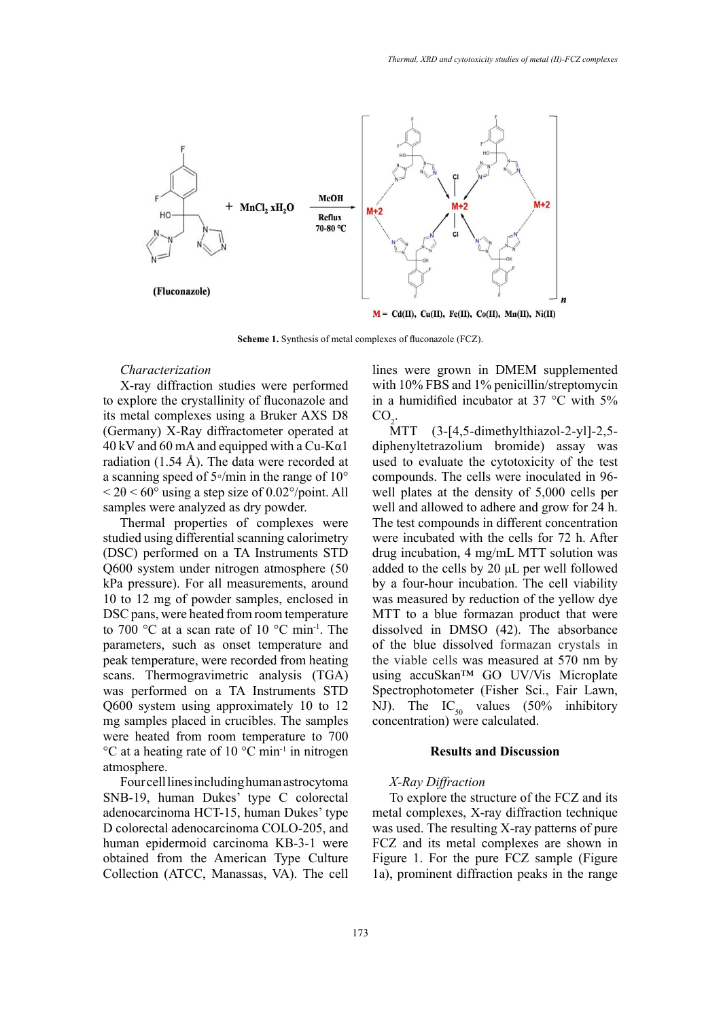

**Scheme 1.** Synthesis of metal complexes of fluconazole (FCZ).

### *Characterization*

X-ray diffraction studies were performed to explore the crystallinity of fluconazole and its metal complexes using a Bruker AXS D8 (Germany) X-Ray diffractometer operated at  $40 \text{ kV}$  and 60 mA and equipped with a Cu-K $\alpha$ 1 radiation (1.54 Å). The data were recorded at a scanning speed of 5◦/min in the range of 10°  $< 2\theta < 60^{\circ}$  using a step size of 0.02°/point. All samples were analyzed as dry powder.

Thermal properties of complexes were studied using differential scanning calorimetry (DSC) performed on a TA Instruments STD Q600 system under nitrogen atmosphere (50 kPa pressure). For all measurements, around 10 to 12 mg of powder samples, enclosed in DSC pans, were heated from room temperature to 700 °C at a scan rate of 10 °C min<sup>-1</sup>. The parameters, such as onset temperature and peak temperature, were recorded from heating scans. Thermogravimetric analysis (TGA) was performed on a TA Instruments STD Q600 system using approximately 10 to 12 mg samples placed in crucibles. The samples were heated from room temperature to 700  $\rm{^{\circ}C}$  at a heating rate of 10  $\rm{^{\circ}C}$  min<sup>-1</sup> in nitrogen atmosphere.

Four cell lines including human astrocytoma SNB-19, human Dukes' type C colorectal adenocarcinoma HCT-15, human Dukes' type D colorectal adenocarcinoma COLO-205, and human epidermoid carcinoma KB-3-1 were obtained from the American Type Culture Collection (ATCC, Manassas, VA). The cell lines were grown in DMEM supplemented with 10% FBS and 1% penicillin/streptomycin in a humidified incubator at 37 °C with 5%  $CO<sub>2</sub>$ .

 $\overline{MTT}$  (3-[4,5-dimethylthiazol-2-yl]-2,5diphenyltetrazolium bromide) assay was used to evaluate the cytotoxicity of the test compounds. The cells were inoculated in 96 well plates at the density of 5,000 cells per well and allowed to adhere and grow for 24 h. The test compounds in different concentration were incubated with the cells for 72 h. After drug incubation, 4 mg/mL MTT solution was added to the cells by 20 μL per well followed by a four-hour incubation. The cell viability was measured by reduction of the yellow dye MTT to a blue formazan product that were dissolved in DMSO (42). The absorbance of the blue dissolved formazan crystals in the viable cells was measured at 570 nm by using accuSkan™ GO UV/Vis Microplate Spectrophotometer (Fisher Sci., Fair Lawn, NJ). The  $IC_{50}$  values (50% inhibitory concentration) were calculated.

# **Results and Discussion**

# *X-Ray Diffraction*

To explore the structure of the FCZ and its metal complexes, X-ray diffraction technique was used. The resulting X-ray patterns of pure FCZ and its metal complexes are shown in Figure 1. For the pure FCZ sample (Figure 1a), prominent diffraction peaks in the range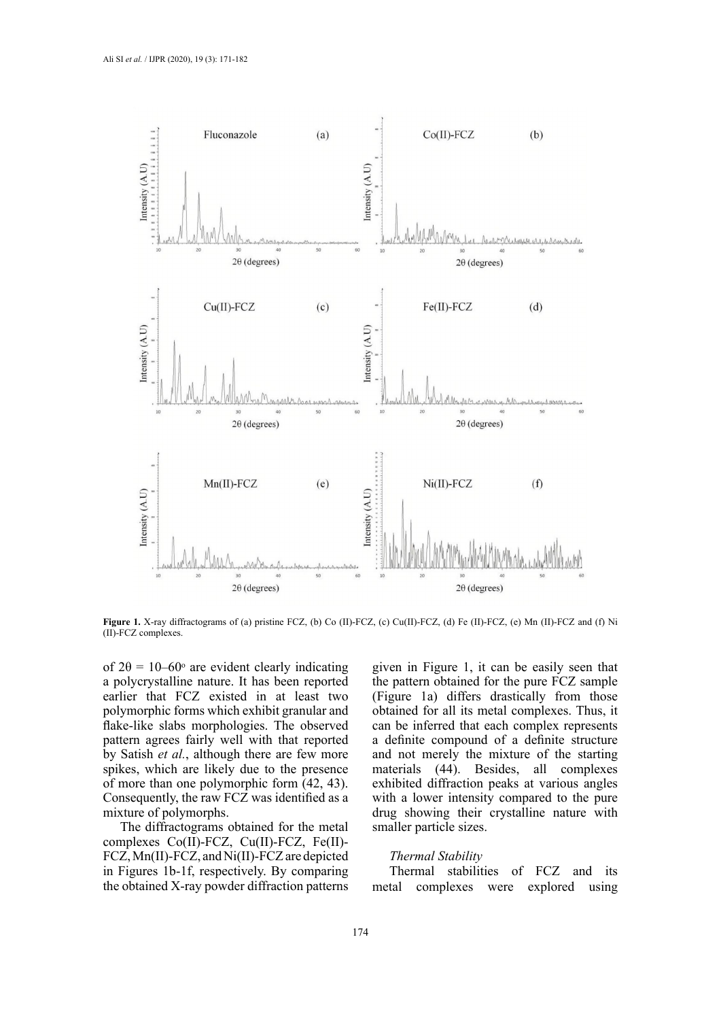

Figure 1. X-ray diffractograms of (a) pristine FCZ, (b) Co (II)-FCZ, (c) Cu(II)-FCZ, (d) Fe (II)-FCZ, (e) Mn (II)-FCZ and (f) Ni (II)-FCZ complexes.

of  $2\theta = 10-60$ ° are evident clearly indicating a polycrystalline nature. It has been reported earlier that FCZ existed in at least two polymorphic forms which exhibit granular and flake-like slabs morphologies. The observed pattern agrees fairly well with that reported by Satish *et al.*, although there are few more spikes, which are likely due to the presence of more than one polymorphic form (42, 43). Consequently, the raw FCZ was identified as a mixture of polymorphs.

The diffractograms obtained for the metal complexes Co(II)-FCZ, Cu(II)-FCZ, Fe(II)- FCZ, Mn(II)-FCZ, and Ni(II)-FCZ are depicted in Figures 1b-1f, respectively. By comparing the obtained X-ray powder diffraction patterns

given in Figure 1, it can be easily seen that the pattern obtained for the pure FCZ sample (Figure 1a) differs drastically from those obtained for all its metal complexes. Thus, it can be inferred that each complex represents a definite compound of a definite structure and not merely the mixture of the starting materials (44). Besides, all complexes exhibited diffraction peaks at various angles with a lower intensity compared to the pure drug showing their crystalline nature with smaller particle sizes.

# *Thermal Stability*

Thermal stabilities of FCZ and its metal complexes were explored using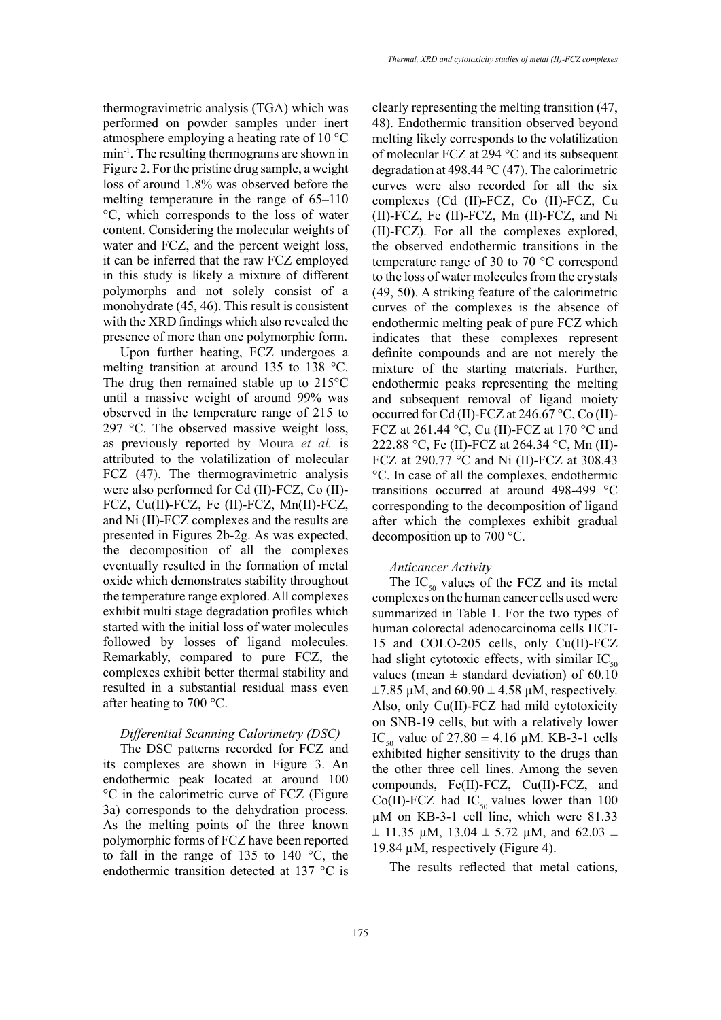thermogravimetric analysis (TGA) which was performed on powder samples under inert atmosphere employing a heating rate of 10 °C min-1. The resulting thermograms are shown in Figure 2. For the pristine drug sample, a weight loss of around 1.8% was observed before the melting temperature in the range of 65–110 °C, which corresponds to the loss of water content. Considering the molecular weights of water and FCZ, and the percent weight loss, it can be inferred that the raw FCZ employed in this study is likely a mixture of different polymorphs and not solely consist of a monohydrate (45, 46). This result is consistent with the XRD findings which also revealed the presence of more than one polymorphic form.

Upon further heating, FCZ undergoes a melting transition at around 135 to 138 °C. The drug then remained stable up to 215°C until a massive weight of around 99% was observed in the temperature range of 215 to 297 °C. The observed massive weight loss, as previously reported by Moura *et al.* is attributed to the volatilization of molecular FCZ (47). The thermogravimetric analysis were also performed for Cd (II)-FCZ, Co (II)- FCZ, Cu(II)-FCZ, Fe (II)-FCZ, Mn(II)-FCZ, and Ni (II)-FCZ complexes and the results are presented in Figures 2b-2g. As was expected, the decomposition of all the complexes eventually resulted in the formation of metal oxide which demonstrates stability throughout the temperature range explored. All complexes exhibit multi stage degradation profiles which started with the initial loss of water molecules followed by losses of ligand molecules. Remarkably, compared to pure FCZ, the complexes exhibit better thermal stability and resulted in a substantial residual mass even after heating to 700 °C.

# *Differential Scanning Calorimetry (DSC)*

The DSC patterns recorded for FCZ and its complexes are shown in Figure 3. An endothermic peak located at around 100 °C in the calorimetric curve of FCZ (Figure 3a) corresponds to the dehydration process. As the melting points of the three known polymorphic forms of FCZ have been reported to fall in the range of 135 to 140  $\degree$ C, the endothermic transition detected at 137 °C is clearly representing the melting transition (47, 48). Endothermic transition observed beyond melting likely corresponds to the volatilization of molecular FCZ at 294 °C and its subsequent degradation at 498.44 °C (47). The calorimetric curves were also recorded for all the six complexes (Cd (II)-FCZ, Co (II)-FCZ, Cu (II)-FCZ, Fe (II)-FCZ, Mn (II)-FCZ, and Ni (II)-FCZ). For all the complexes explored, the observed endothermic transitions in the temperature range of 30 to 70 °C correspond to the loss of water molecules from the crystals (49, 50). A striking feature of the calorimetric curves of the complexes is the absence of endothermic melting peak of pure FCZ which indicates that these complexes represent definite compounds and are not merely the mixture of the starting materials. Further, endothermic peaks representing the melting and subsequent removal of ligand moiety occurred for Cd (II)-FCZ at 246.67 °C, Co (II)- FCZ at 261.44 °C, Cu (II)-FCZ at 170 °C and 222.88 °C, Fe (II)-FCZ at 264.34 °C, Mn (II)- FCZ at 290.77 °C and Ni (II)-FCZ at 308.43 °C. In case of all the complexes, endothermic transitions occurred at around 498-499 °C corresponding to the decomposition of ligand after which the complexes exhibit gradual decomposition up to 700 °C.

# *Anticancer Activity*

The  $IC_{50}$  values of the FCZ and its metal complexes on the human cancer cells used were summarized in Table 1. For the two types of human colorectal adenocarcinoma cells HCT-15 and COLO-205 cells, only Cu(II)-FCZ had slight cytotoxic effects, with similar  $IC_{50}$ values (mean  $\pm$  standard deviation) of 60.10  $\pm$ 7.85 μM, and 60.90  $\pm$  4.58 μM, respectively. Also, only Cu(II)-FCZ had mild cytotoxicity on SNB-19 cells, but with a relatively lower IC<sub>50</sub> value of 27.80  $\pm$  4.16 µM. KB-3-1 cells exhibited higher sensitivity to the drugs than the other three cell lines. Among the seven compounds, Fe(II)-FCZ, Cu(II)-FCZ, and Co(II)-FCZ had  $IC_{50}$  values lower than 100 µM on KB-3-1 cell line, which were 81.33  $\pm$  11.35 µM, 13.04  $\pm$  5.72 µM, and 62.03  $\pm$ 19.84 µM, respectively (Figure 4).

The results reflected that metal cations,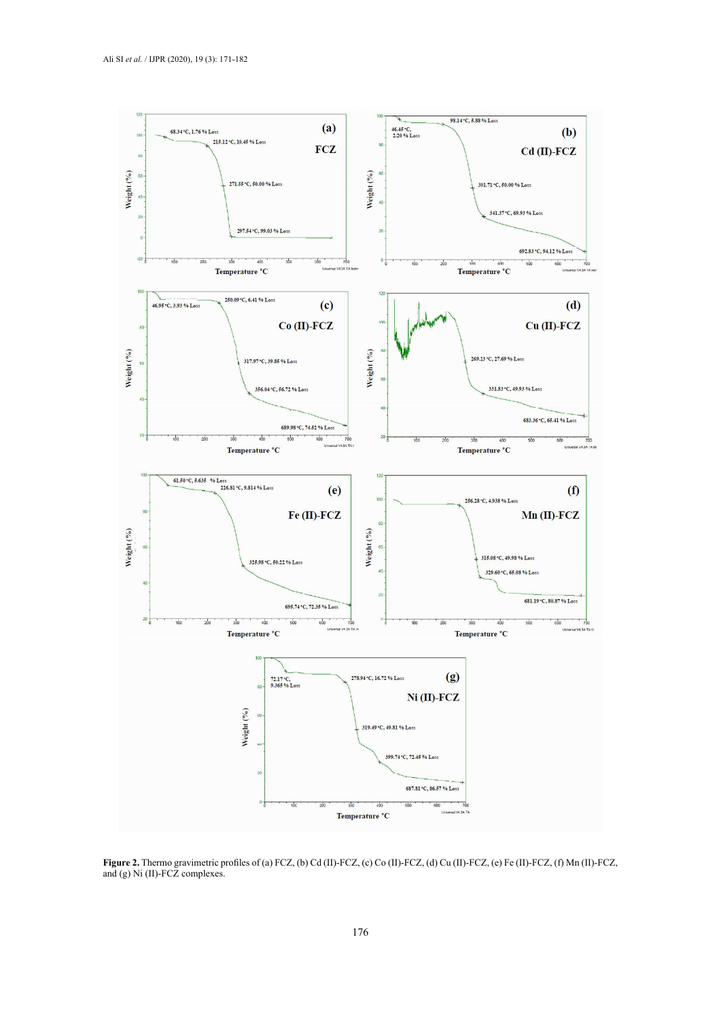

**Figure 2.** Thermo gravimetric profiles of (a) FCZ, (b) Cd (II)-FCZ, (c) Co (II)-FCZ, (d) Cu (II)-FCZ, (e) Fe (II)-FCZ, (f) Mn (II)-FCZ, and (g) Ni (II)-FCZ complexes.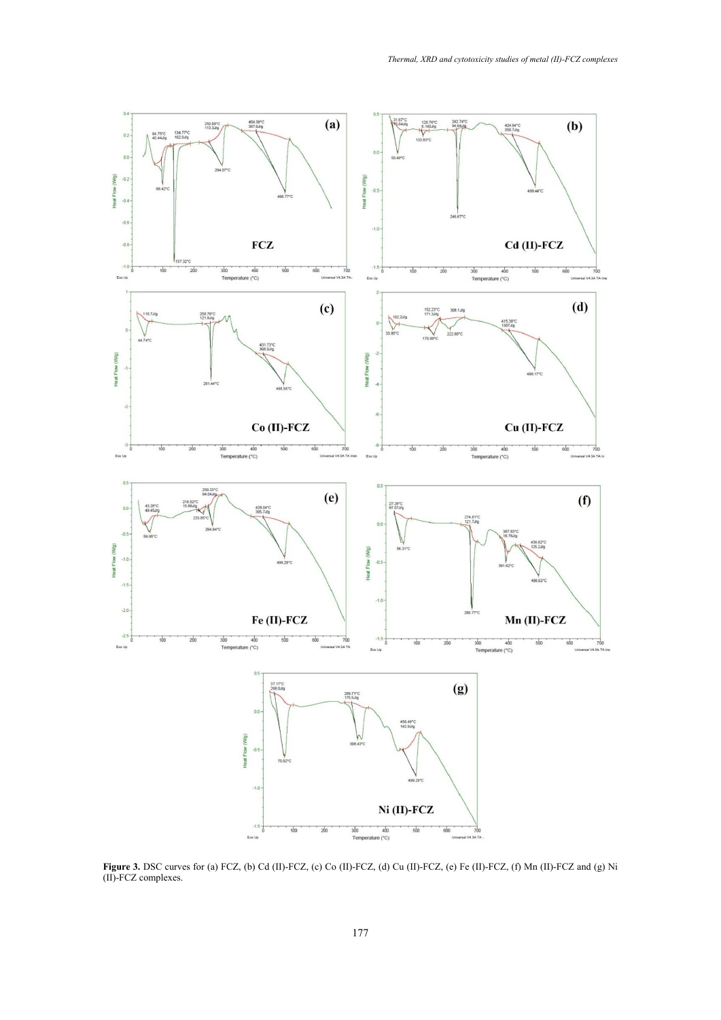

**Figure 3.** DSC curves for (a) FCZ, (b) Cd (II)-FCZ, (c) Co (II)-FCZ, (d) Cu (II)-FCZ, (e) Fe (II)-FCZ, (f) Mn (II)-FCZ and (g) Ni (II)-FCZ complexes.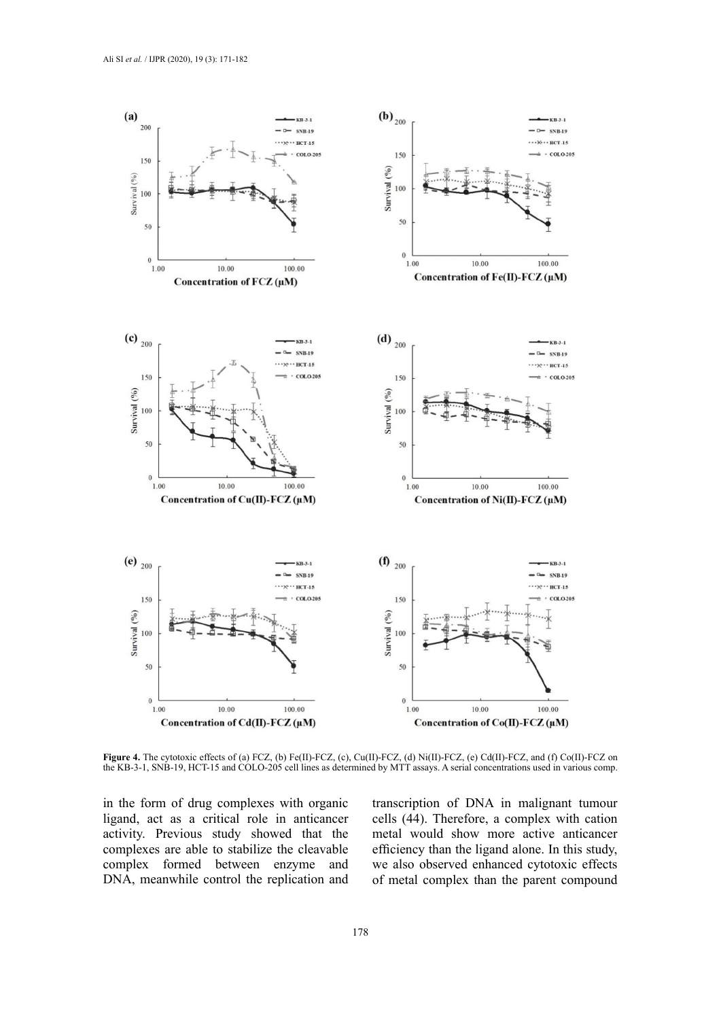

**Figure 4.** The cytotoxic effects of (a) FCZ, (b) Fe(II)-FCZ, (c), Cu(II)-FCZ, (d) Ni(II)-FCZ, (e) Cd(II)-FCZ, and (f) Co(II)-FCZ on the KB-3-1, SNB-19, HCT-15 and COLO-205 cell lines as determined by MTT assays. A serial concentrations used in various comp.

in the form of drug complexes with organic ligand, act as a critical role in anticancer activity. Previous study showed that the complexes are able to stabilize the cleavable complex formed between enzyme and DNA, meanwhile control the replication and transcription of DNA in malignant tumour cells (44). Therefore, a complex with cation metal would show more active anticancer efficiency than the ligand alone. In this study, we also observed enhanced cytotoxic effects of metal complex than the parent compound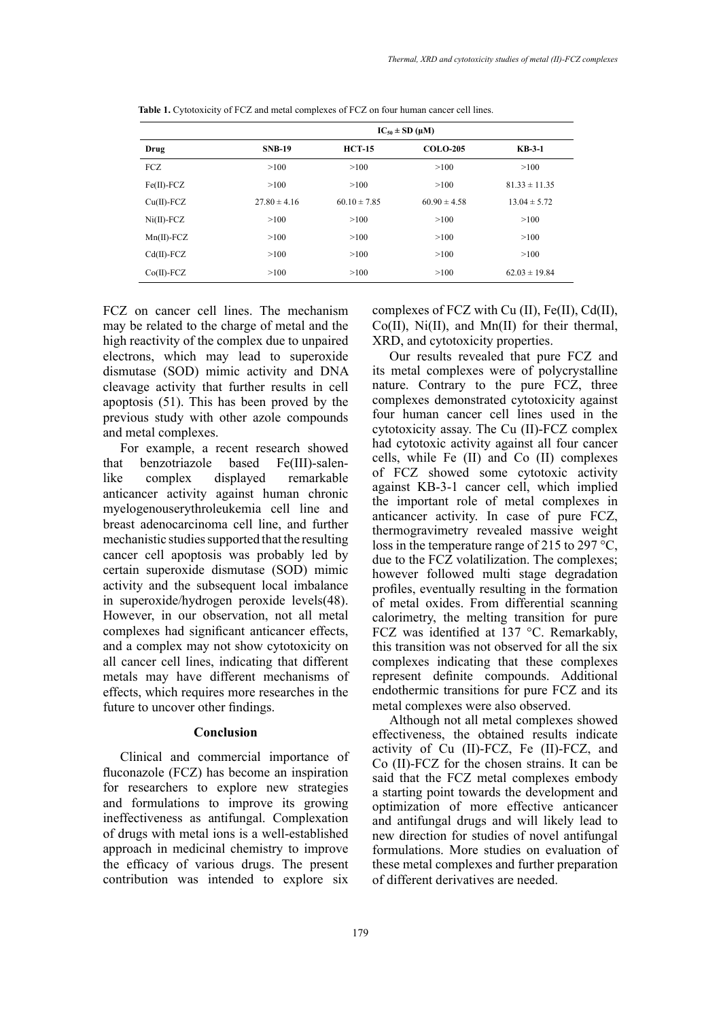|                  | $IC_{50} \pm SD$ (µM) |                  |                  |                   |
|------------------|-----------------------|------------------|------------------|-------------------|
| Drug             | <b>SNB-19</b>         | $HCT-15$         | <b>COLO-205</b>  | $KB-3-1$          |
| FCZ              | >100                  | >100             | >100             | >100              |
| $Fe(II)$ - $FCZ$ | >100                  | >100             | >100             | $81.33 \pm 11.35$ |
| $Cu(II)$ -FCZ    | $27.80 \pm 4.16$      | $60.10 \pm 7.85$ | $60.90 \pm 4.58$ | $13.04 \pm 5.72$  |
| $Ni(II)$ - $FCZ$ | >100                  | >100             | >100             | >100              |
| $Mn(II)$ -FCZ    | >100                  | >100             | >100             | >100              |
| $Cd(II)$ -FCZ    | >100                  | >100             | >100             | >100              |
| $Co(II)$ -FCZ    | >100                  | >100             | >100             | $62.03 \pm 19.84$ |

Table 1. Cytotoxicity of FCZ and metal complexes of FCZ on four human cancer cell lines.

FCZ on cancer cell lines. The mechanism may be related to the charge of metal and the high reactivity of the complex due to unpaired electrons, which may lead to superoxide dismutase (SOD) mimic activity and DNA cleavage activity that further results in cell apoptosis (51). This has been proved by the previous study with other azole compounds and metal complexes.

For example, a recent research showed that benzotriazole based Fe(III)-salenlike complex displayed remarkable anticancer activity against human chronic myelogenouserythroleukemia cell line and breast adenocarcinoma cell line, and further mechanistic studies supported that the resulting cancer cell apoptosis was probably led by certain superoxide dismutase (SOD) mimic activity and the subsequent local imbalance in superoxide/hydrogen peroxide levels(48). However, in our observation, not all metal complexes had significant anticancer effects, and a complex may not show cytotoxicity on all cancer cell lines, indicating that different metals may have different mechanisms of effects, which requires more researches in the future to uncover other findings.

# **Conclusion**

Clinical and commercial importance of fluconazole (FCZ) has become an inspiration for researchers to explore new strategies and formulations to improve its growing ineffectiveness as antifungal. Complexation of drugs with metal ions is a well-established approach in medicinal chemistry to improve the efficacy of various drugs. The present contribution was intended to explore six

complexes of FCZ with Cu (II), Fe(II), Cd(II), Co(II), Ni(II), and Mn(II) for their thermal, XRD, and cytotoxicity properties.

Our results revealed that pure FCZ and its metal complexes were of polycrystalline nature. Contrary to the pure FCZ, three complexes demonstrated cytotoxicity against four human cancer cell lines used in the cytotoxicity assay. The Cu (II)-FCZ complex had cytotoxic activity against all four cancer cells, while Fe (II) and Co (II) complexes of FCZ showed some cytotoxic activity against KB-3-1 cancer cell, which implied the important role of metal complexes in anticancer activity. In case of pure FCZ, thermogravimetry revealed massive weight loss in the temperature range of 215 to 297 °C, due to the FCZ volatilization. The complexes; however followed multi stage degradation profiles, eventually resulting in the formation of metal oxides. From differential scanning calorimetry, the melting transition for pure FCZ was identified at 137 °C. Remarkably, this transition was not observed for all the six complexes indicating that these complexes represent definite compounds. Additional endothermic transitions for pure FCZ and its metal complexes were also observed.

Although not all metal complexes showed effectiveness, the obtained results indicate activity of Cu (II)-FCZ, Fe (II)-FCZ, and Co (II)-FCZ for the chosen strains. It can be said that the FCZ metal complexes embody a starting point towards the development and optimization of more effective anticancer and antifungal drugs and will likely lead to new direction for studies of novel antifungal formulations. More studies on evaluation of these metal complexes and further preparation of different derivatives are needed.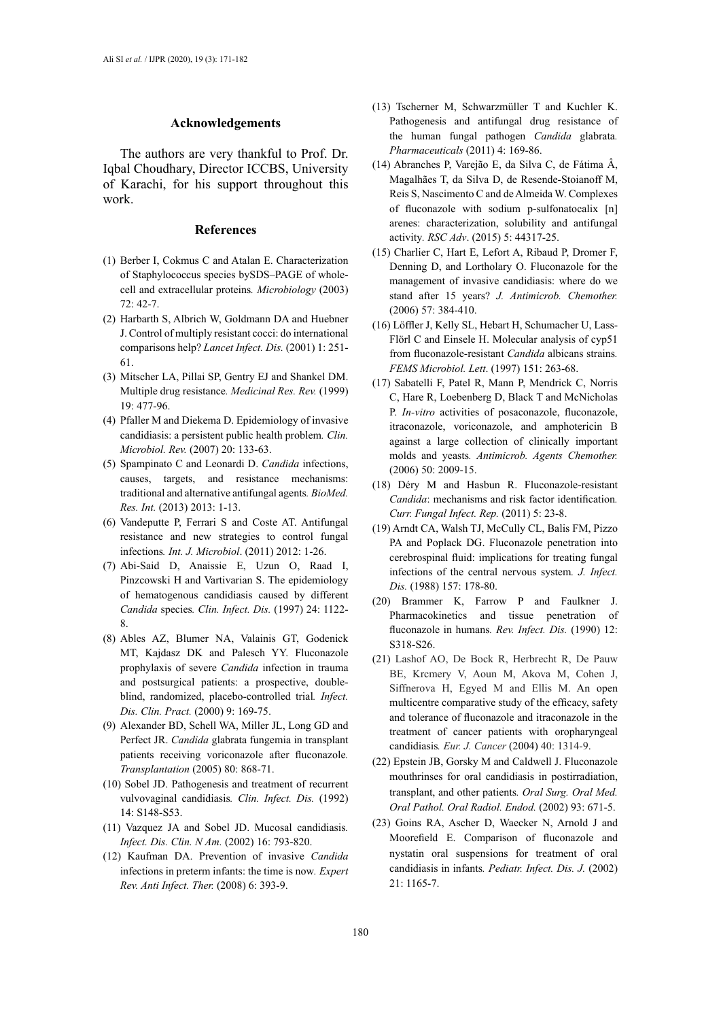### **Acknowledgements**

The authors are very thankful to Prof. Dr. Iqbal Choudhary, Director ICCBS, University of Karachi, for his support throughout this work.

### **References**

- (1) Berber I, Cokmus C and Atalan E. Characterization of Staphylococcus species bySDS–PAGE of wholecell and extracellular proteins*. Microbiology* (2003) 72: 42-7.
- (2) Harbarth S, Albrich W, Goldmann DA and Huebner J. Control of multiply resistant cocci: do international comparisons help? *Lancet Infect. Dis.* (2001) 1: 251- 61.
- (3) Mitscher LA, Pillai SP, Gentry EJ and Shankel DM. Multiple drug resistance*. Medicinal Res. Rev.* (1999) 19: 477-96.
- (4) Pfaller M and Diekema D. Epidemiology of invasive candidiasis: a persistent public health problem*. Clin. Microbiol. Rev.* (2007) 20: 133-63.
- (5) Spampinato C and Leonardi D. *Candida* infections, causes, targets, and resistance mechanisms: traditional and alternative antifungal agents*. BioMed. Res. Int.* (2013) 2013: 1-13.
- (6) Vandeputte P, Ferrari S and Coste AT. Antifungal resistance and new strategies to control fungal infections*. Int. J. Microbiol*. (2011) 2012: 1-26.
- (7) Abi-Said D, Anaissie E, Uzun O, Raad I, Pinzcowski H and Vartivarian S. The epidemiology of hematogenous candidiasis caused by different *Candida* species*. Clin. Infect. Dis.* (1997) 24: 1122- 8.
- (8) Ables AZ, Blumer NA, Valainis GT, Godenick MT, Kajdasz DK and Palesch YY. Fluconazole prophylaxis of severe *Candida* infection in trauma and postsurgical patients: a prospective, doubleblind, randomized, placebo-controlled trial*. Infect. Dis. Clin. Pract.* (2000) 9: 169-75.
- (9) Alexander BD, Schell WA, Miller JL, Long GD and Perfect JR. *Candida* glabrata fungemia in transplant patients receiving voriconazole after fluconazole*. Transplantation* (2005) 80: 868-71.
- (10) Sobel JD. Pathogenesis and treatment of recurrent vulvovaginal candidiasis*. Clin. Infect. Dis.* (1992) 14: S148-S53.
- (11) Vazquez JA and Sobel JD. Mucosal candidiasis*. Infect. Dis. Clin. N Am.* (2002) 16: 793-820.
- (12) Kaufman DA. Prevention of invasive *Candida* infections in preterm infants: the time is now*. Expert Rev. Anti Infect. Ther.* (2008) 6: 393-9.
- (13) Tscherner M, Schwarzmüller T and Kuchler K. Pathogenesis and antifungal drug resistance of the human fungal pathogen *Candida* glabrata*. Pharmaceuticals* (2011) 4: 169-86.
- (14) Abranches P, Varejão E, da Silva C, de Fátima Â, Magalhães T, da Silva D, de Resende-Stoianoff M, Reis S, Nascimento C and de Almeida W. Complexes of fluconazole with sodium p-sulfonatocalix [n] arenes: characterization, solubility and antifungal activity*. RSC Adv*. (2015) 5: 44317-25.
- (15) Charlier C, Hart E, Lefort A, Ribaud P, Dromer F, Denning D, and Lortholary O. Fluconazole for the management of invasive candidiasis: where do we stand after 15 years? *J. Antimicrob. Chemother.*  (2006) 57: 384-410.
- (16) Löffler J, Kelly SL, Hebart H, Schumacher U, Lass-Flörl C and Einsele H. Molecular analysis of cyp51 from fluconazole-resistant *Candida* albicans strains*. FEMS Microbiol. Lett*. (1997) 151: 263-68.
- (17) Sabatelli F, Patel R, Mann P, Mendrick C, Norris C, Hare R, Loebenberg D, Black T and McNicholas P. *In-vitro* activities of posaconazole, fluconazole, itraconazole, voriconazole, and amphotericin B against a large collection of clinically important molds and yeasts*. Antimicrob. Agents Chemother.* (2006) 50: 2009-15.
- (18) Déry M and Hasbun R. Fluconazole-resistant *Candida*: mechanisms and risk factor identification*. Curr. Fungal Infect. Rep.* (2011) 5: 23-8.
- (19) Arndt CA, Walsh TJ, McCully CL, Balis FM, Pizzo PA and Poplack DG. Fluconazole penetration into cerebrospinal fluid: implications for treating fungal infections of the central nervous system*. J. Infect. Dis.* (1988) 157: 178-80.
- (20) Brammer K, Farrow P and Faulkner J. Pharmacokinetics and tissue penetration of fluconazole in humans. Rev. Infect. Dis. (1990) 12: S318-S26.
- (21) Lashof AO, De Bock R, Herbrecht R, De Pauw BE, Krcmery V, Aoun M, Akova M, Cohen J, Siffnerova H, Egyed M and Ellis M. An open multicentre comparative study of the efficacy, safety and tolerance of fluconazole and itraconazole in the treatment of cancer patients with oropharyngeal candidiasis*. Eur. J. Cancer* (2004) 40: 1314-9.
- (22) Epstein JB, Gorsky M and Caldwell J. Fluconazole mouthrinses for oral candidiasis in postirradiation, transplant, and other patients*. Oral Surg. Oral Med. Oral Pathol. Oral Radiol. Endod.* (2002) 93: 671-5.
- (23) Goins RA, Ascher D, Waecker N, Arnold J and Moorefield E. Comparison of fluconazole and nystatin oral suspensions for treatment of oral candidiasis in infants*. Pediatr. Infect. Dis. J.* (2002) 21: 1165-7.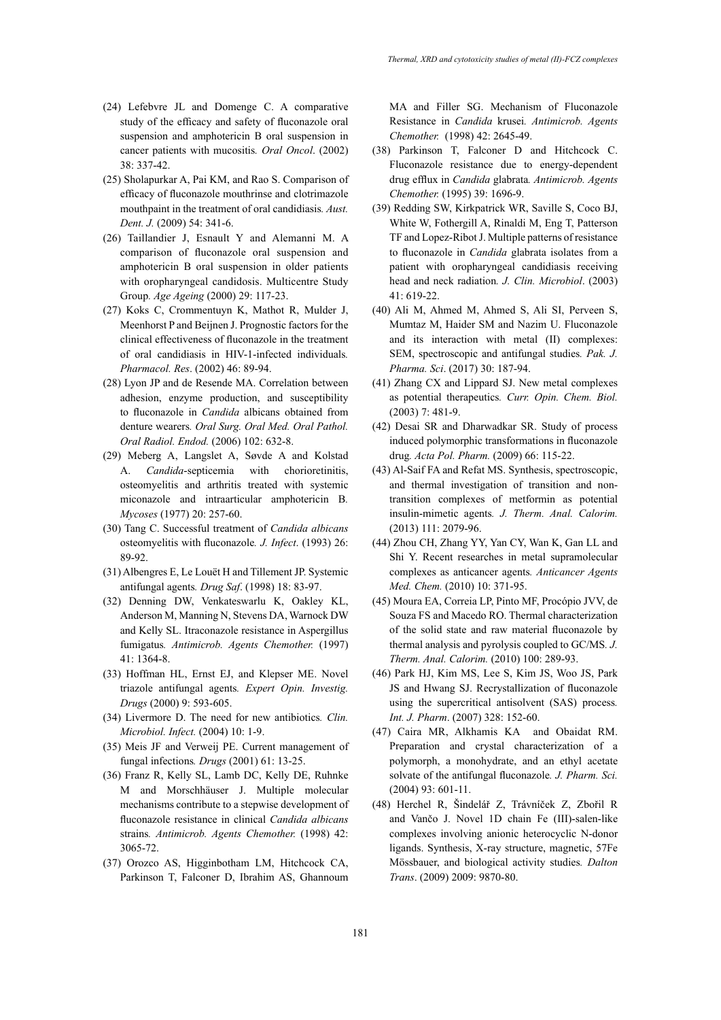- (24) Lefebvre JL and Domenge C. A comparative study of the efficacy and safety of fluconazole oral suspension and amphotericin B oral suspension in cancer patients with mucositis*. Oral Oncol*. (2002) 38: 337-42.
- (25) Sholapurkar A, Pai KM, and Rao S. Comparison of efficacy of fluconazole mouthrinse and clotrimazole mouthpaint in the treatment of oral candidiasis*. Aust. Dent. J.* (2009) 54: 341-6.
- (26) Taillandier J, Esnault Y and Alemanni M. A comparison of fluconazole oral suspension and amphotericin B oral suspension in older patients with oropharyngeal candidosis. Multicentre Study Group*. Age Ageing* (2000) 29: 117-23.
- (27) Koks C, Crommentuyn K, Mathot R, Mulder J, Meenhorst P and Beijnen J. Prognostic factors for the clinical effectiveness of fluconazole in the treatment of oral candidiasis in HIV-1-infected individuals*. Pharmacol. Res*. (2002) 46: 89-94.
- (28) Lyon JP and de Resende MA. Correlation between adhesion, enzyme production, and susceptibility to fluconazole in *Candida* albicans obtained from denture wearers*. Oral Surg. Oral Med. Oral Pathol. Oral Radiol. Endod.* (2006) 102: 632-8.
- (29) Meberg A, Langslet A, Søvde A and Kolstad A. *Candida*-septicemia with chorioretinitis, osteomyelitis and arthritis treated with systemic miconazole and intraarticular amphotericin B*. Mycoses* (1977) 20: 257-60.
- (30) Tang C. Successful treatment of *Candida albicans*  osteomyelitis with fluconazole*. J. Infect*. (1993) 26: 89-92.
- (31) Albengres E, Le Louët H and Tillement JP. Systemic antifungal agents*. Drug Saf*. (1998) 18: 83-97.
- (32) Denning DW, Venkateswarlu K, Oakley KL, Anderson M, Manning N, Stevens DA, Warnock DW and Kelly SL. Itraconazole resistance in Aspergillus fumigatus*. Antimicrob. Agents Chemother.* (1997) 41: 1364-8.
- (33) Hoffman HL, Ernst EJ, and Klepser ME. Novel triazole antifungal agents*. Expert Opin. Investig. Drugs* (2000) 9: 593-605.
- (34) Livermore D. The need for new antibiotics*. Clin. Microbiol. Infect.* (2004) 10: 1-9.
- (35) Meis JF and Verweij PE. Current management of fungal infections*. Drugs* (2001) 61: 13-25.
- (36) Franz R, Kelly SL, Lamb DC, Kelly DE, Ruhnke M and Morschhäuser J. Multiple molecular mechanisms contribute to a stepwise development of fluconazole resistance in clinical *Candida albicans*  strains*. Antimicrob. Agents Chemother.* (1998) 42: 3065-72.
- (37) Orozco AS, Higginbotham LM, Hitchcock CA, Parkinson T, Falconer D, Ibrahim AS, Ghannoum

MA and Filler SG. Mechanism of Fluconazole Resistance in *Candida* krusei*. Antimicrob. Agents Chemother.* (1998) 42: 2645-49.

- (38) Parkinson T, Falconer D and Hitchcock C. Fluconazole resistance due to energy-dependent drug efflux in *Candida* glabrata*. Antimicrob. Agents Chemother.* (1995) 39: 1696-9.
- (39) Redding SW, Kirkpatrick WR, Saville S, Coco BJ, White W, Fothergill A, Rinaldi M, Eng T, Patterson TF and Lopez-Ribot J. Multiple patterns of resistance to fluconazole in *Candida* glabrata isolates from a patient with oropharyngeal candidiasis receiving head and neck radiation*. J. Clin. Microbiol*. (2003) 41: 619-22.
- (40) Ali M, Ahmed M, Ahmed S, Ali SI, Perveen S, Mumtaz M, Haider SM and Nazim U. Fluconazole and its interaction with metal (II) complexes: SEM, spectroscopic and antifungal studies*. Pak. J. Pharma. Sci*. (2017) 30: 187-94.
- (41) Zhang CX and Lippard SJ. New metal complexes as potential therapeutics*. Curr. Opin. Chem. Biol.* (2003) 7: 481-9.
- (42) Desai SR and Dharwadkar SR. Study of process induced polymorphic transformations in fluconazole drug*. Acta Pol. Pharm.* (2009) 66: 115-22.
- (43) Al-Saif FA and Refat MS. Synthesis, spectroscopic, and thermal investigation of transition and nontransition complexes of metformin as potential insulin-mimetic agents*. J. Therm. Anal. Calorim.* (2013) 111: 2079-96.
- (44) Zhou CH, Zhang YY, Yan CY, Wan K, Gan LL and Shi Y. Recent researches in metal supramolecular complexes as anticancer agents*. Anticancer Agents Med. Chem.* (2010) 10: 371-95.
- (45) Moura EA, Correia LP, Pinto MF, Procópio JVV, de Souza FS and Macedo RO. Thermal characterization of the solid state and raw material fluconazole by thermal analysis and pyrolysis coupled to GC/MS*. J. Therm. Anal. Calorim.* (2010) 100: 289-93.
- (46) Park HJ, Kim MS, Lee S, Kim JS, Woo JS, Park JS and Hwang SJ. Recrystallization of fluconazole using the supercritical antisolvent (SAS) process*. Int. J. Pharm*. (2007) 328: 152-60.
- (47) Caira MR, Alkhamis KA and Obaidat RM. Preparation and crystal characterization of a polymorph, a monohydrate, and an ethyl acetate solvate of the antifungal fluconazole*. J. Pharm. Sci.* (2004) 93: 601-11.
- (48) Herchel R, Šindelář Z, Trávníček Z, Zbořil R and Vančo J. Novel 1D chain Fe (III)-salen-like complexes involving anionic heterocyclic N-donor ligands. Synthesis, X-ray structure, magnetic, 57Fe Mössbauer, and biological activity studies*. Dalton Trans*. (2009) 2009: 9870-80.